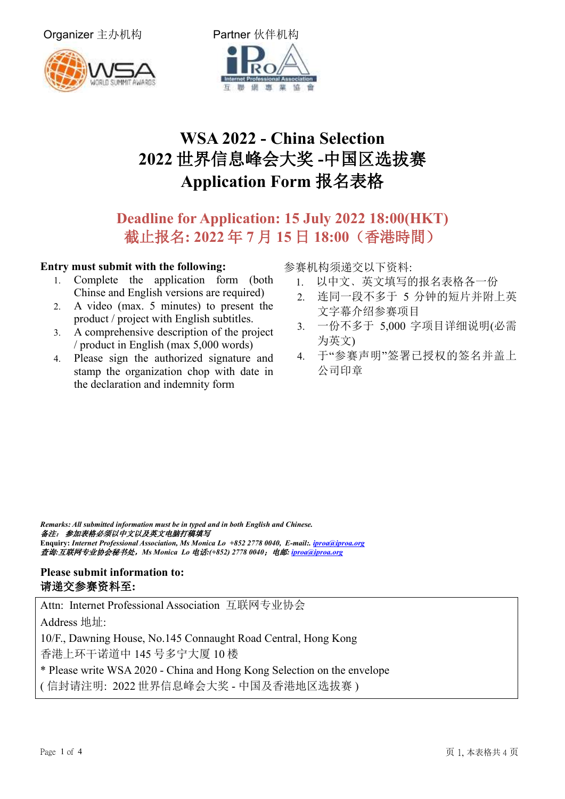Organizer 主办机构 **Partner** 伙伴机构





# **WSA 2022 - China Selection 2022** 世界信息峰会大奖 **-**中国区选拔赛 **Application Form** 报名表格

# **Deadline for Application: 15 July 2022 18:00(HKT)** 截止报名**: 2022** 年 **7** 月 **15** 日 **18:00**(香港時間)

#### **Entry must submit with the following:**

- 1. Complete the application form (both Chinse and English versions are required)
- 2. A video (max. 5 minutes) to present the product / project with English subtitles.
- 3. A comprehensive description of the project / product in English (max 5,000 words)
- 4. Please sign the authorized signature and stamp the organization chop with date in the declaration and indemnity form

参赛机构须递交以下资料:

- 1. 以中文﹑英文填写的报名表格各一份
- 2. 连同一段不多于 5 分钟的短片并附上英 文字幕介绍参赛项目
- 3. 一份不多于 5,000 字项目详细说明(必需 为英文)
- 4. 于"参赛声明"签署已授权的签名并盖上 公司印章

*Remarks: All submitted information must be in typed and in both English and Chinese.* 备注: 参加表格必须以中文以及英文电脑打稿填写 **Enquiry:** *Internet Professional Association, Ms Monica Lo +852 2778 0040, E-mail:. [iproa@iproa.org](mailto:iproa@iproa.org)*  查询*:*互联网专业协会秘书处,*Ms Monica Lo* 电话*:(+852) 2778 0040*;电邮*: [iproa@iproa.org](mailto:iproa@ipora.org)* 

### **Please submit information to:** 请递交参赛资料至**:**

Attn: Internet Professional Association 互联网专业协会

Address 地址:

10/F., Dawning House, No.145 Connaught Road Central, Hong Kong 香港上环干诺道中 145 号多宁大厦 10 楼

\* Please write WSA 2020 - China and Hong Kong Selection on the envelope

( 信封请注明: 2022 世界信息峰会大奖 - 中国及香港地区选拔赛 )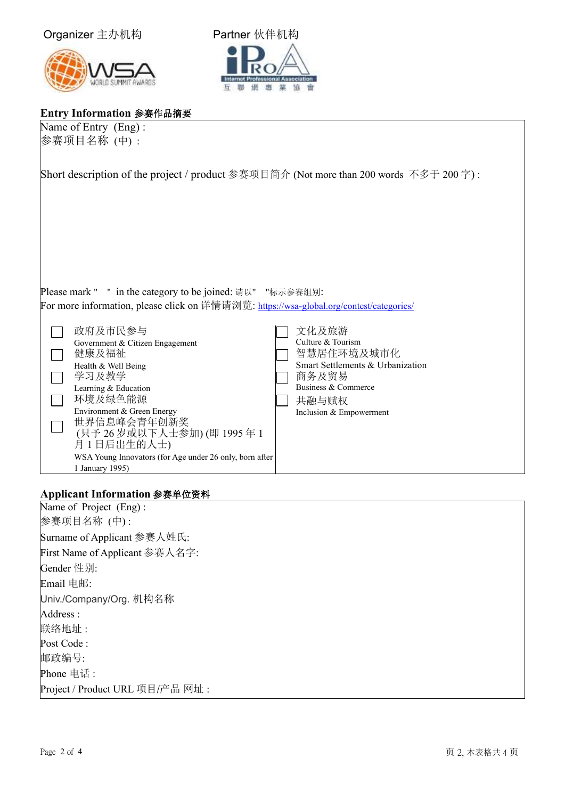



## **Entry Information** 参赛作品摘要

| Short description of the project / product 参赛项目简介 (Not more than 200 words 不多于 200 字) :                                                                                                                                                                                                                   |
|-----------------------------------------------------------------------------------------------------------------------------------------------------------------------------------------------------------------------------------------------------------------------------------------------------------|
| Please mark " " in the category to be joined: 请以" "标示参赛组别:<br>For more information, please click on 详情请浏览: https://wsa-global.org/contest/categories/<br>文化及旅游<br>Culture & Tourism<br>智慧居住环境及城市化<br>Smart Settlements & Urbanization<br>商务及贸易<br>Business & Commerce<br>共融与赋权<br>Inclusion & Empowerment |
|                                                                                                                                                                                                                                                                                                           |

### **Applicant Information** 参赛单位资料

1 January 1995)

| Name of Project (Eng):          |
|---------------------------------|
| 参赛项目名称 (中):                     |
| Surname of Applicant 参赛人姓氏:     |
| First Name of Applicant 参赛人名字:  |
| Gender 性别:                      |
| Email 电邮:                       |
| Univ./Company/Org. 机构名称         |
| Address:                        |
| 联络地址:                           |
| Post Code:                      |
| 邮政编号:                           |
| Phone 电话:                       |
| Project / Product URL 项目/产品 网址: |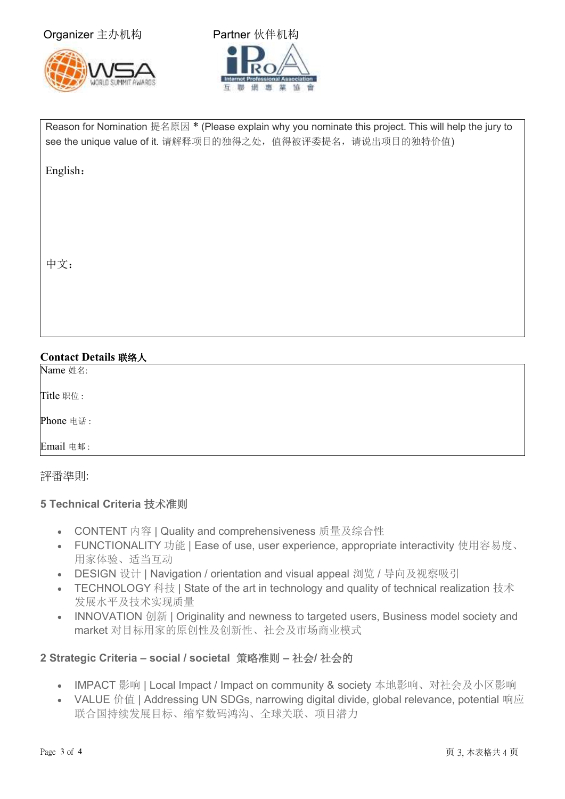Organizer 主办机构 **Partner** 伙伴机构





Reason for Nomination 提名原因 \* (Please explain why you nominate this project. This will help the jury to see the unique value of it. 请解释项目的独得之处, 值得被评委提名, 请说出项目的独特价值)

English:

中文:

# **Contact Details** 联络人 Name 姓名: Title 职位 :

Phone 电话 :

Email 电邮 :

### 評番準則:

### **5 Technical Criteria** 技术准则

- CONTENT 内容 | Quality and comprehensiveness 质量及综合性
- FUNCTIONALITY 功能 | Ease of use, user experience, appropriate interactivity 使用容易度、 用家体验、适当互动
- DESIGN 设计 | Navigation / orientation and visual appeal 浏览 / 导向及视察吸引
- TECHNOLOGY 科技 | State of the art in technology and quality of technical realization 技术 发展水平及技术实现质量
- INNOVATION 创新 | Originality and newness to targeted users, Business model society and market 对目标用家的原创性及创新性、社会及市场商业模式

### **2 Strategic Criteria – social / societal** 策略准则 **–** 社会**/** 社会的

- IMPACT 影响 | Local Impact / Impact on community & society 本地影响、对社会及小区影响
- VALUE 价值 | Addressing UN SDGs, narrowing digital divide, global relevance, potential 响应 联合国持续发展目标、缩窄数码鸿沟、全球关联、项目潜力